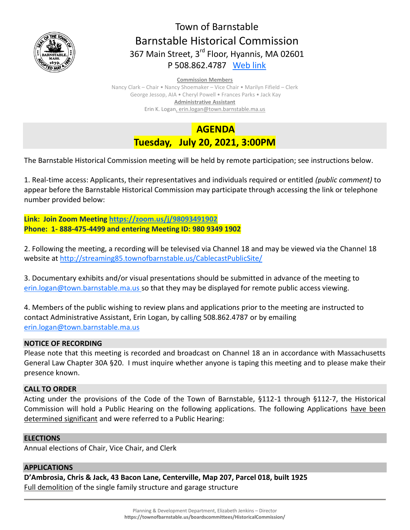

# Town of Barnstable Barnstable Historical Commission 367 Main Street, 3<sup>rd</sup> Floor, Hyannis, MA 02601 P 508.862.4787 [Web link](https://tobweb.town.barnstable.ma.us/boardscommittees/HistoricalCommission/default.asp?brd=Historical+Commission&year=2021)

#### **Commission Members**

Nancy Clark – Chair • Nancy Shoemaker – Vice Chair • Marilyn Fifield – Clerk George Jessop, AIA • Cheryl Powell • Frances Parks • Jack Kay **Administrative Assistant** Erin K. Logan, erin.logan@town.barnstable.ma.us

> **AGENDA Tuesday, July 20, 2021, 3:00PM**

The Barnstable Historical Commission meeting will be held by remote participation; see instructions below.

1. Real-time access: Applicants, their representatives and individuals required or entitled *(public comment)* to appear before the Barnstable Historical Commission may participate through accessing the link or telephone number provided below:

**Link: Join Zoom Meeting <https://zoom.us/j/98093491902> Phone: 1- 888-475-4499 and entering Meeting ID: 980 9349 1902** 

2. Following the meeting, a recording will be televised via Channel 18 and may be viewed via the Channel 18 website at<http://streaming85.townofbarnstable.us/CablecastPublicSite/>

3. Documentary exhibits and/or visual presentations should be submitted in advance of the meeting to [erin.logan@town.barnstable.ma.us](mailto:erin.logan@town.barnstable.ma.us) so that they may be displayed for remote public access viewing.

4. Members of the public wishing to review plans and applications prior to the meeting are instructed to contact Administrative Assistant, Erin Logan, by calling 508.862.4787 or by emailing [erin.logan@town.barnstable.ma.us](mailto:erin.logan@town.barnstable.ma.us)

## **NOTICE OF RECORDING**

Please note that this meeting is recorded and broadcast on Channel 18 an in accordance with Massachusetts General Law Chapter 30A §20. I must inquire whether anyone is taping this meeting and to please make their presence known.

### **CALL TO ORDER**

Acting under the provisions of the Code of the Town of Barnstable, §112-1 through §112-7, the Historical Commission will hold a Public Hearing on the following applications. The following Applications have been determined significant and were referred to a Public Hearing:

### **ELECTIONS**

Annual elections of Chair, Vice Chair, and Clerk

# **APPLICATIONS**

**D'Ambrosia, Chris & Jack, 43 Bacon Lane, Centerville, Map 207, Parcel 018, built 1925** Full demolition of the single family structure and garage structure